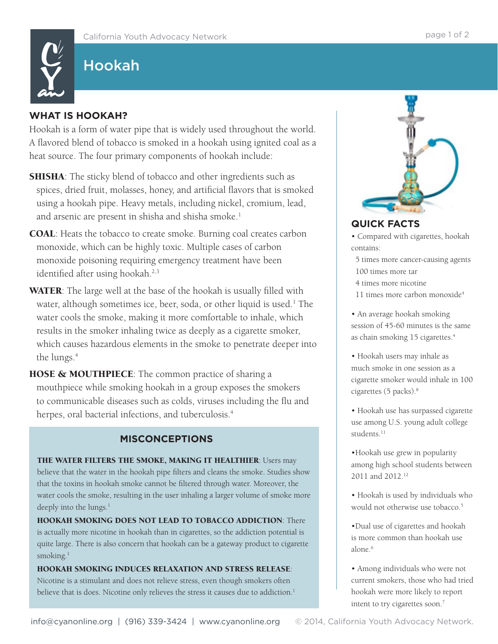## Hookah

## **WHAT IS HOOKAH?**

Hookah is a form of water pipe that is widely used throughout the world. A flavored blend of tobacco is smoked in a hookah using ignited coal as a heat source. The four primary components of hookah include:

- **SHISHA**: The sticky blend of tobacco and other ingredients such as spices, dried fruit, molasses, honey, and artificial flavors that is smoked using a hookah pipe. Heavy metals, including nickel, cromium, lead, and arsenic are present in shisha and shisha smoke.<sup>1</sup>
- COAL: Heats the tobacco to create smoke. Burning coal creates carbon monoxide, which can be highly toxic. Multiple cases of carbon monoxide poisoning requiring emergency treatment have been identified after using hookah.<sup>2,3</sup>
- **WATER:** The large well at the base of the hookah is usually filled with water, although sometimes ice, beer, soda, or other liquid is used.<sup>1</sup> The water cools the smoke, making it more comfortable to inhale, which results in the smoker inhaling twice as deeply as a cigarette smoker, which causes hazardous elements in the smoke to penetrate deeper into the lungs.<sup>4</sup>
- **HOSE & MOUTHPIECE:** The common practice of sharing a mouthpiece while smoking hookah in a group exposes the smokers to communicable diseases such as colds, viruses including the flu and herpes, oral bacterial infections, and tuberculosis.<sup>4</sup>

## **MISCONCEPTIONS**

THE WATER FILTERS THE SMOKE, MAKING IT HEALTHIER: Users may believe that the water in the hookah pipe filters and cleans the smoke. Studies show that the toxins in hookah smoke cannot be filtered through water. Moreover, the water cools the smoke, resulting in the user inhaling a larger volume of smoke more deeply into the lungs.<sup>1</sup>

HOOKAH SMOKING DOES NOT LEAD TO TOBACCO ADDICTION: There is actually more nicotine in hookah than in cigarettes, so the addiction potential is quite large. There is also concern that hookah can be a gateway product to cigarette smoking.<sup>1</sup>

HOOKAH SMOKING INDUCES RELAXATION AND STRESS RELEASE: Nicotine is a stimulant and does not relieve stress, even though smokers often believe that is does. Nicotine only relieves the stress it causes due to addiction.<sup>1</sup>



## **QUICK FACTS**

• Compared with cigarettes, hookah contains:

- 5 times more cancer-causing agents 100 times more tar
- 4 times more nicotine
- 11 times more carbon monoxide<sup>4</sup>

• An average hookah smoking session of 45-60 minutes is the same as chain smoking 15 cigarettes.<sup>4</sup>

• Hookah users may inhale as much smoke in one session as a cigarette smoker would inhale in 100 cigarettes (5 packs).8

• Hookah use has surpassed cigarette use among U.S. young adult college students.<sup>11</sup>

•Hookah use grew in popularity among high school students between 2011 and 2012.<sup>12</sup>

• Hookah is used by individuals who would not otherwise use tobacco.<sup>5</sup>

•Dual use of cigarettes and hookah is more common than hookah use alone.<sup>6</sup>

• Among individuals who were not current smokers, those who had tried hookah were more likely to report intent to try cigarettes soon.7